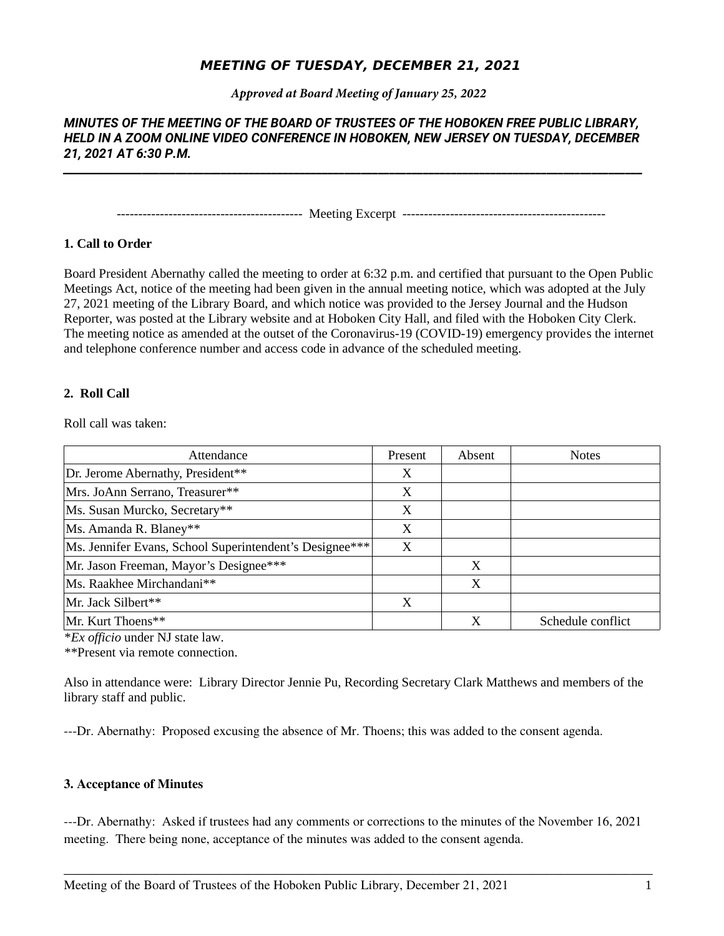# **MEETING OF TUESDAY, DECEMBER 21, 2021**

*Approved at Board Meeting of January 25, 2022*

# *MINUTES OF THE MEETING OF THE BOARD OF TRUSTEES OF THE HOBOKEN FREE PUBLIC LIBRARY, HELD IN A ZOOM ONLINE VIDEO CONFERENCE IN HOBOKEN, NEW JERSEY ON TUESDAY, DECEMBER 21, 2021 AT 6:30 P.M.*

*\_\_\_\_\_\_\_\_\_\_\_\_\_\_\_\_\_\_\_\_\_\_\_\_\_\_\_\_\_\_\_\_\_\_\_\_\_\_\_\_\_\_\_\_\_\_\_\_\_\_\_\_\_\_\_\_\_\_\_\_\_\_\_\_\_\_\_\_\_\_\_\_\_\_\_\_\_\_\_\_\_\_\_\_\_\_\_\_\_\_\_\_\_\_\_\_\_\_\_\_\_\_\_*

------------------------------------------- Meeting Excerpt -----------------------------------------------

# **1. Call to Order**

Board President Abernathy called the meeting to order at 6:32 p.m. and certified that pursuant to the Open Public Meetings Act, notice of the meeting had been given in the annual meeting notice, which was adopted at the July 27, 2021 meeting of the Library Board, and which notice was provided to the Jersey Journal and the Hudson Reporter, was posted at the Library website and at Hoboken City Hall, and filed with the Hoboken City Clerk. The meeting notice as amended at the outset of the Coronavirus-19 (COVID-19) emergency provides the internet and telephone conference number and access code in advance of the scheduled meeting.

# **2. Roll Call**

Roll call was taken:

| Attendance                                              | Present | Absent | <b>Notes</b>      |
|---------------------------------------------------------|---------|--------|-------------------|
| Dr. Jerome Abernathy, President**                       | X       |        |                   |
| Mrs. JoAnn Serrano, Treasurer**                         | X       |        |                   |
| Ms. Susan Murcko, Secretary**                           | X       |        |                   |
| Ms. Amanda R. Blaney**                                  | X       |        |                   |
| Ms. Jennifer Evans, School Superintendent's Designee*** | X       |        |                   |
| Mr. Jason Freeman, Mayor's Designee***                  |         | X      |                   |
| Ms. Raakhee Mirchandani**                               |         | X      |                   |
| Mr. Jack Silbert**                                      | X       |        |                   |
| Mr. Kurt Thoens**                                       |         | X      | Schedule conflict |

\**Ex officio* under NJ state law.

\*\*Present via remote connection.

Also in attendance were: Library Director Jennie Pu, Recording Secretary Clark Matthews and members of the library staff and public.

---Dr. Abernathy: Proposed excusing the absence of Mr. Thoens; this was added to the consent agenda.

# **3. Acceptance of Minutes**

---Dr. Abernathy: Asked if trustees had any comments or corrections to the minutes of the November 16, 2021 meeting. There being none, acceptance of the minutes was added to the consent agenda.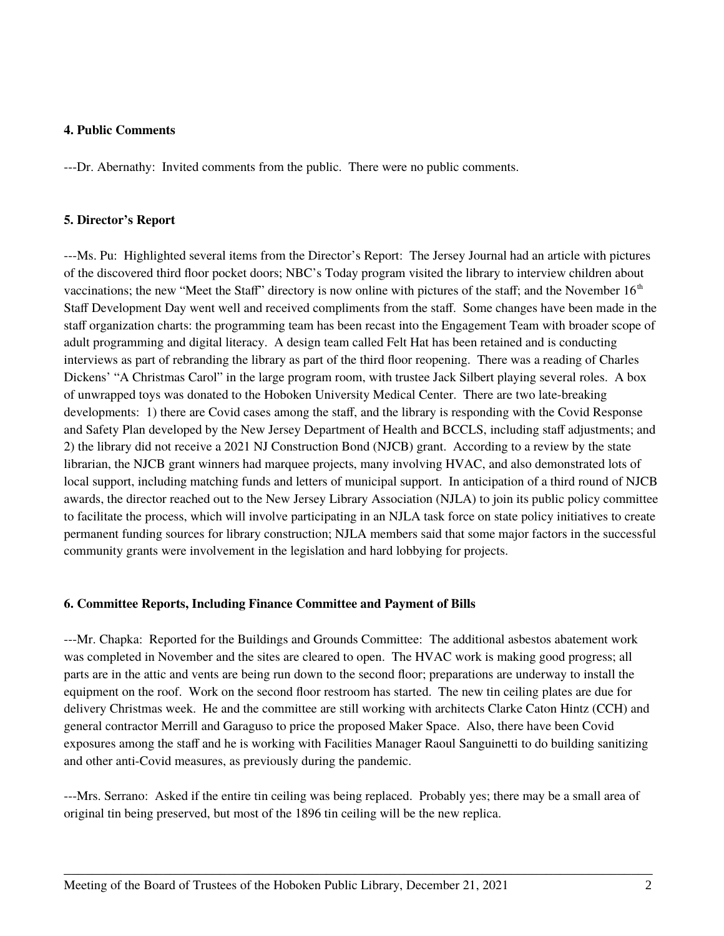### **4. Public Comments**

---Dr. Abernathy: Invited comments from the public. There were no public comments.

#### **5. Director's Report**

---Ms. Pu: Highlighted several items from the Director's Report: The Jersey Journal had an article with pictures of the discovered third floor pocket doors; NBC's Today program visited the library to interview children about vaccinations; the new "Meet the Staff" directory is now online with pictures of the staff; and the November  $16<sup>th</sup>$ Staff Development Day went well and received compliments from the staff. Some changes have been made in the staff organization charts: the programming team has been recast into the Engagement Team with broader scope of adult programming and digital literacy. A design team called Felt Hat has been retained and is conducting interviews as part of rebranding the library as part of the third floor reopening. There was a reading of Charles Dickens' "A Christmas Carol" in the large program room, with trustee Jack Silbert playing several roles. A box of unwrapped toys was donated to the Hoboken University Medical Center. There are two late-breaking developments: 1) there are Covid cases among the staff, and the library is responding with the Covid Response and Safety Plan developed by the New Jersey Department of Health and BCCLS, including staff adjustments; and 2) the library did not receive a 2021 NJ Construction Bond (NJCB) grant. According to a review by the state librarian, the NJCB grant winners had marquee projects, many involving HVAC, and also demonstrated lots of local support, including matching funds and letters of municipal support. In anticipation of a third round of NJCB awards, the director reached out to the New Jersey Library Association (NJLA) to join its public policy committee to facilitate the process, which will involve participating in an NJLA task force on state policy initiatives to create permanent funding sources for library construction; NJLA members said that some major factors in the successful community grants were involvement in the legislation and hard lobbying for projects.

## **6. Committee Reports, Including Finance Committee and Payment of Bills**

---Mr. Chapka: Reported for the Buildings and Grounds Committee: The additional asbestos abatement work was completed in November and the sites are cleared to open. The HVAC work is making good progress; all parts are in the attic and vents are being run down to the second floor; preparations are underway to install the equipment on the roof. Work on the second floor restroom has started. The new tin ceiling plates are due for delivery Christmas week. He and the committee are still working with architects Clarke Caton Hintz (CCH) and general contractor Merrill and Garaguso to price the proposed Maker Space. Also, there have been Covid exposures among the staff and he is working with Facilities Manager Raoul Sanguinetti to do building sanitizing and other anti-Covid measures, as previously during the pandemic.

---Mrs. Serrano: Asked if the entire tin ceiling was being replaced. Probably yes; there may be a small area of original tin being preserved, but most of the 1896 tin ceiling will be the new replica.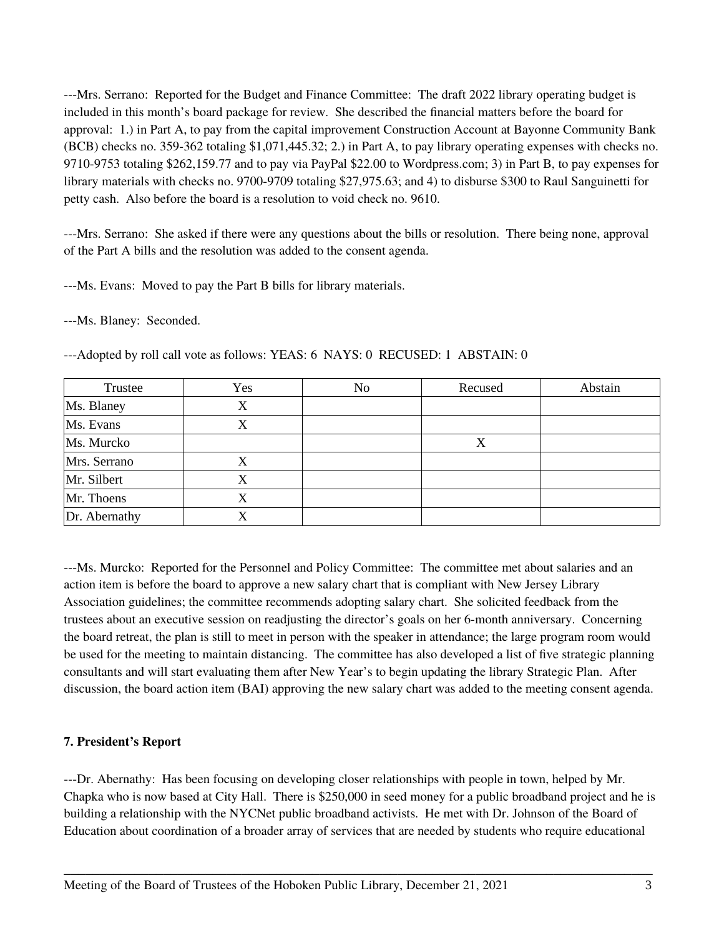---Mrs. Serrano: Reported for the Budget and Finance Committee: The draft 2022 library operating budget is included in this month's board package for review. She described the financial matters before the board for approval: 1.) in Part A, to pay from the capital improvement Construction Account at Bayonne Community Bank (BCB) checks no. 359-362 totaling \$1,071,445.32; 2.) in Part A, to pay library operating expenses with checks no. 9710-9753 totaling \$262,159.77 and to pay via PayPal \$22.00 to Wordpress.com; 3) in Part B, to pay expenses for library materials with checks no. 9700-9709 totaling \$27,975.63; and 4) to disburse \$300 to Raul Sanguinetti for petty cash. Also before the board is a resolution to void check no. 9610.

---Mrs. Serrano: She asked if there were any questions about the bills or resolution. There being none, approval of the Part A bills and the resolution was added to the consent agenda.

---Ms. Evans: Moved to pay the Part B bills for library materials.

---Ms. Blaney: Seconded.

| Trustee       | Yes | No | Recused | Abstain |
|---------------|-----|----|---------|---------|
| Ms. Blaney    | X   |    |         |         |
| Ms. Evans     | X   |    |         |         |
| Ms. Murcko    |     |    | X       |         |
| Mrs. Serrano  | X   |    |         |         |
| Mr. Silbert   | Х   |    |         |         |
| Mr. Thoens    | Х   |    |         |         |
| Dr. Abernathy | X   |    |         |         |

---Adopted by roll call vote as follows: YEAS: 6 NAYS: 0 RECUSED: 1 ABSTAIN: 0

---Ms. Murcko: Reported for the Personnel and Policy Committee: The committee met about salaries and an action item is before the board to approve a new salary chart that is compliant with New Jersey Library Association guidelines; the committee recommends adopting salary chart. She solicited feedback from the trustees about an executive session on readjusting the director's goals on her 6-month anniversary. Concerning the board retreat, the plan is still to meet in person with the speaker in attendance; the large program room would be used for the meeting to maintain distancing. The committee has also developed a list of five strategic planning consultants and will start evaluating them after New Year's to begin updating the library Strategic Plan. After discussion, the board action item (BAI) approving the new salary chart was added to the meeting consent agenda.

# **7. President's Report**

---Dr. Abernathy: Has been focusing on developing closer relationships with people in town, helped by Mr. Chapka who is now based at City Hall. There is \$250,000 in seed money for a public broadband project and he is building a relationship with the NYCNet public broadband activists. He met with Dr. Johnson of the Board of Education about coordination of a broader array of services that are needed by students who require educational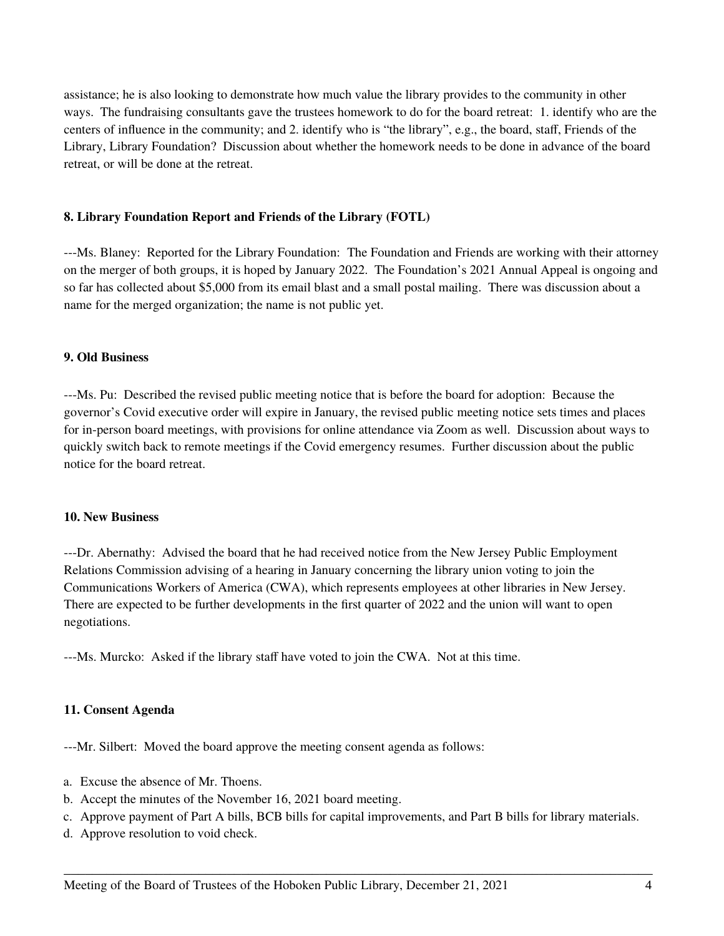assistance; he is also looking to demonstrate how much value the library provides to the community in other ways. The fundraising consultants gave the trustees homework to do for the board retreat: 1. identify who are the centers of influence in the community; and 2. identify who is "the library", e.g., the board, staff, Friends of the Library, Library Foundation? Discussion about whether the homework needs to be done in advance of the board retreat, or will be done at the retreat.

### **8. Library Foundation Report and Friends of the Library (FOTL)**

---Ms. Blaney: Reported for the Library Foundation: The Foundation and Friends are working with their attorney on the merger of both groups, it is hoped by January 2022. The Foundation's 2021 Annual Appeal is ongoing and so far has collected about \$5,000 from its email blast and a small postal mailing. There was discussion about a name for the merged organization; the name is not public yet.

## **9. Old Business**

---Ms. Pu: Described the revised public meeting notice that is before the board for adoption: Because the governor's Covid executive order will expire in January, the revised public meeting notice sets times and places for in-person board meetings, with provisions for online attendance via Zoom as well. Discussion about ways to quickly switch back to remote meetings if the Covid emergency resumes. Further discussion about the public notice for the board retreat.

#### **10. New Business**

---Dr. Abernathy: Advised the board that he had received notice from the New Jersey Public Employment Relations Commission advising of a hearing in January concerning the library union voting to join the Communications Workers of America (CWA), which represents employees at other libraries in New Jersey. There are expected to be further developments in the first quarter of 2022 and the union will want to open negotiations.

---Ms. Murcko: Asked if the library staff have voted to join the CWA. Not at this time.

#### **11. Consent Agenda**

---Mr. Silbert: Moved the board approve the meeting consent agenda as follows:

- a. Excuse the absence of Mr. Thoens.
- b. Accept the minutes of the November 16, 2021 board meeting.
- c. Approve payment of Part A bills, BCB bills for capital improvements, and Part B bills for library materials.

\_\_\_\_\_\_\_\_\_\_\_\_\_\_\_\_\_\_\_\_\_\_\_\_\_\_\_\_\_\_\_\_\_\_\_\_\_\_\_\_\_\_\_\_\_\_\_\_\_\_\_\_\_\_\_\_\_\_\_\_\_\_\_\_\_\_\_\_\_\_\_\_\_\_\_\_\_\_\_\_\_\_\_

d. Approve resolution to void check.